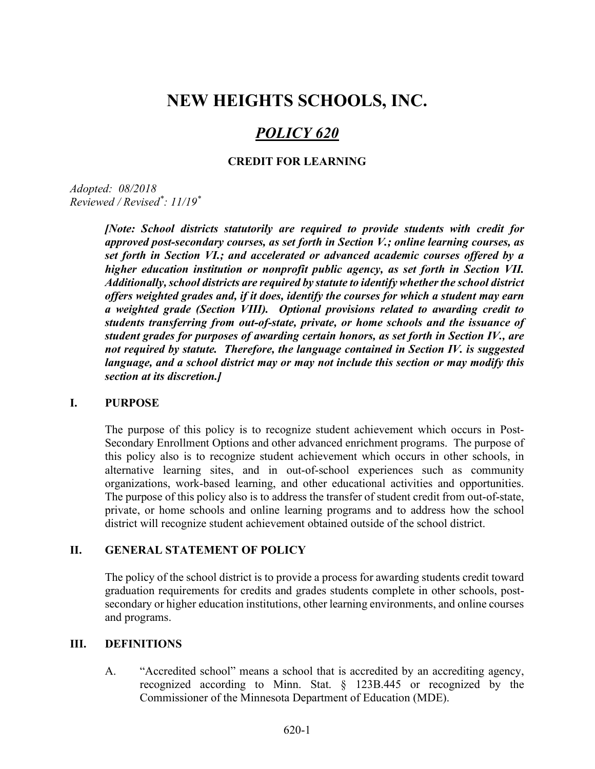# NEW HEIGHTS SCHOOLS, INC.

# POLICY 620

### CREDIT FOR LEARNING

Adopted: 08/2018 Reviewed / Revised\* : 11/19\*

> [Note: School districts statutorily are required to provide students with credit for approved post-secondary courses, as set forth in Section V.; online learning courses, as set forth in Section VI.; and accelerated or advanced academic courses offered by a higher education institution or nonprofit public agency, as set forth in Section VII. Additionally, school districts are required by statute to identify whether the school district offers weighted grades and, if it does, identify the courses for which a student may earn a weighted grade (Section VIII). Optional provisions related to awarding credit to students transferring from out-of-state, private, or home schools and the issuance of student grades for purposes of awarding certain honors, as set forth in Section IV., are not required by statute. Therefore, the language contained in Section IV. is suggested language, and a school district may or may not include this section or may modify this section at its discretion.]

### I. PURPOSE

The purpose of this policy is to recognize student achievement which occurs in Post-Secondary Enrollment Options and other advanced enrichment programs. The purpose of this policy also is to recognize student achievement which occurs in other schools, in alternative learning sites, and in out-of-school experiences such as community organizations, work-based learning, and other educational activities and opportunities. The purpose of this policy also is to address the transfer of student credit from out-of-state, private, or home schools and online learning programs and to address how the school district will recognize student achievement obtained outside of the school district.

### II. GENERAL STATEMENT OF POLICY

The policy of the school district is to provide a process for awarding students credit toward graduation requirements for credits and grades students complete in other schools, postsecondary or higher education institutions, other learning environments, and online courses and programs.

### III. DEFINITIONS

A. "Accredited school" means a school that is accredited by an accrediting agency, recognized according to Minn. Stat. § 123B.445 or recognized by the Commissioner of the Minnesota Department of Education (MDE).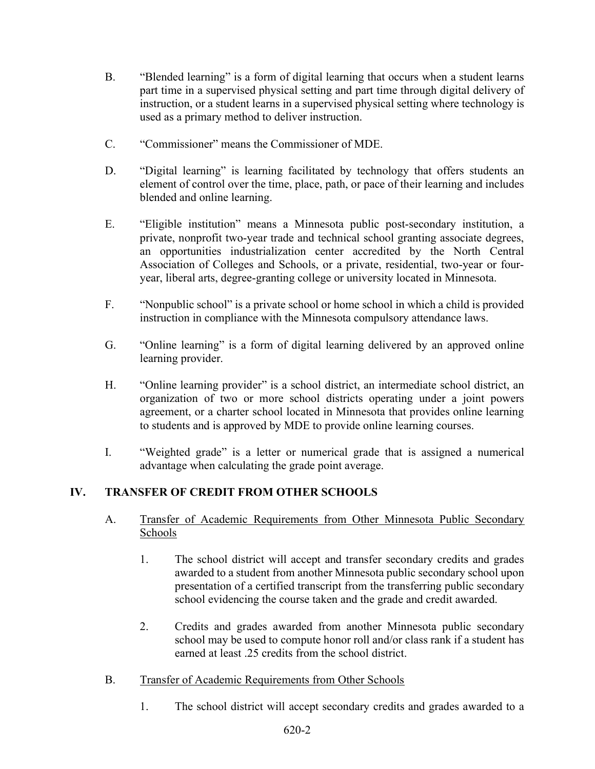- B. "Blended learning" is a form of digital learning that occurs when a student learns part time in a supervised physical setting and part time through digital delivery of instruction, or a student learns in a supervised physical setting where technology is used as a primary method to deliver instruction.
- C. "Commissioner" means the Commissioner of MDE.
- D. "Digital learning" is learning facilitated by technology that offers students an element of control over the time, place, path, or pace of their learning and includes blended and online learning.
- E. "Eligible institution" means a Minnesota public post-secondary institution, a private, nonprofit two-year trade and technical school granting associate degrees, an opportunities industrialization center accredited by the North Central Association of Colleges and Schools, or a private, residential, two-year or fouryear, liberal arts, degree-granting college or university located in Minnesota.
- F. "Nonpublic school" is a private school or home school in which a child is provided instruction in compliance with the Minnesota compulsory attendance laws.
- G. "Online learning" is a form of digital learning delivered by an approved online learning provider.
- H. "Online learning provider" is a school district, an intermediate school district, an organization of two or more school districts operating under a joint powers agreement, or a charter school located in Minnesota that provides online learning to students and is approved by MDE to provide online learning courses.
- I. "Weighted grade" is a letter or numerical grade that is assigned a numerical advantage when calculating the grade point average.

# IV. TRANSFER OF CREDIT FROM OTHER SCHOOLS

- A. Transfer of Academic Requirements from Other Minnesota Public Secondary Schools
	- 1. The school district will accept and transfer secondary credits and grades awarded to a student from another Minnesota public secondary school upon presentation of a certified transcript from the transferring public secondary school evidencing the course taken and the grade and credit awarded.
	- 2. Credits and grades awarded from another Minnesota public secondary school may be used to compute honor roll and/or class rank if a student has earned at least .25 credits from the school district.
- B. Transfer of Academic Requirements from Other Schools
	- 1. The school district will accept secondary credits and grades awarded to a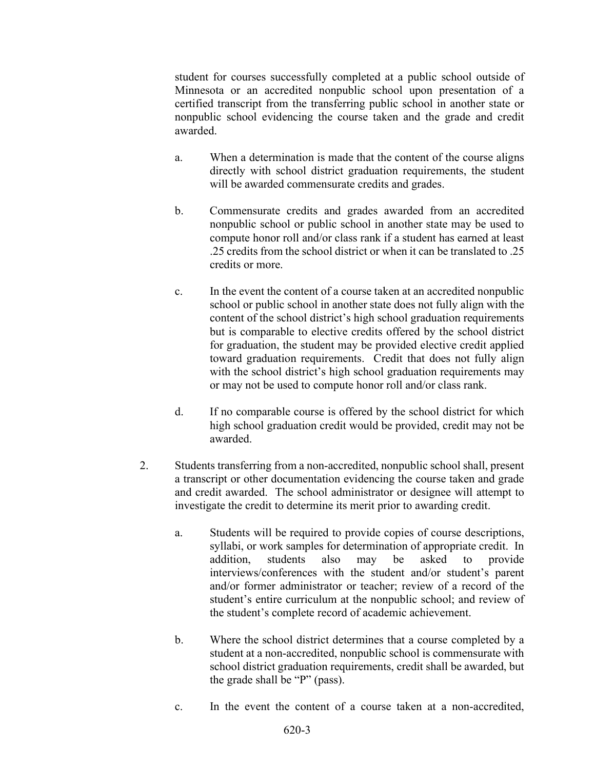student for courses successfully completed at a public school outside of Minnesota or an accredited nonpublic school upon presentation of a certified transcript from the transferring public school in another state or nonpublic school evidencing the course taken and the grade and credit awarded.

- a. When a determination is made that the content of the course aligns directly with school district graduation requirements, the student will be awarded commensurate credits and grades.
- b. Commensurate credits and grades awarded from an accredited nonpublic school or public school in another state may be used to compute honor roll and/or class rank if a student has earned at least .25 credits from the school district or when it can be translated to .25 credits or more.
- c. In the event the content of a course taken at an accredited nonpublic school or public school in another state does not fully align with the content of the school district's high school graduation requirements but is comparable to elective credits offered by the school district for graduation, the student may be provided elective credit applied toward graduation requirements. Credit that does not fully align with the school district's high school graduation requirements may or may not be used to compute honor roll and/or class rank.
- d. If no comparable course is offered by the school district for which high school graduation credit would be provided, credit may not be awarded.
- 2. Students transferring from a non-accredited, nonpublic school shall, present a transcript or other documentation evidencing the course taken and grade and credit awarded. The school administrator or designee will attempt to investigate the credit to determine its merit prior to awarding credit.
	- a. Students will be required to provide copies of course descriptions, syllabi, or work samples for determination of appropriate credit. In addition, students also may be asked to provide interviews/conferences with the student and/or student's parent and/or former administrator or teacher; review of a record of the student's entire curriculum at the nonpublic school; and review of the student's complete record of academic achievement.
	- b. Where the school district determines that a course completed by a student at a non-accredited, nonpublic school is commensurate with school district graduation requirements, credit shall be awarded, but the grade shall be "P" (pass).
	- c. In the event the content of a course taken at a non-accredited,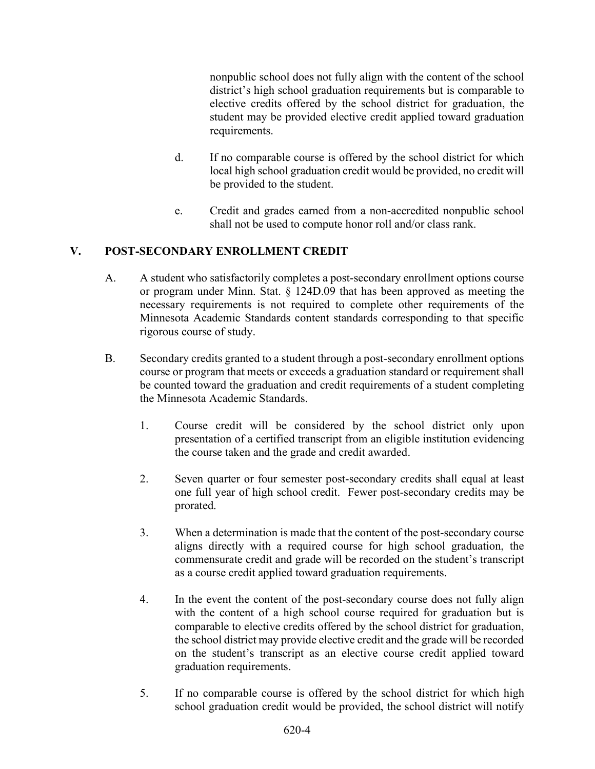nonpublic school does not fully align with the content of the school district's high school graduation requirements but is comparable to elective credits offered by the school district for graduation, the student may be provided elective credit applied toward graduation requirements.

- d. If no comparable course is offered by the school district for which local high school graduation credit would be provided, no credit will be provided to the student.
- e. Credit and grades earned from a non-accredited nonpublic school shall not be used to compute honor roll and/or class rank.

# V. POST-SECONDARY ENROLLMENT CREDIT

- A. A student who satisfactorily completes a post-secondary enrollment options course or program under Minn. Stat. § 124D.09 that has been approved as meeting the necessary requirements is not required to complete other requirements of the Minnesota Academic Standards content standards corresponding to that specific rigorous course of study.
- B. Secondary credits granted to a student through a post-secondary enrollment options course or program that meets or exceeds a graduation standard or requirement shall be counted toward the graduation and credit requirements of a student completing the Minnesota Academic Standards.
	- 1. Course credit will be considered by the school district only upon presentation of a certified transcript from an eligible institution evidencing the course taken and the grade and credit awarded.
	- 2. Seven quarter or four semester post-secondary credits shall equal at least one full year of high school credit. Fewer post-secondary credits may be prorated.
	- 3. When a determination is made that the content of the post-secondary course aligns directly with a required course for high school graduation, the commensurate credit and grade will be recorded on the student's transcript as a course credit applied toward graduation requirements.
	- 4. In the event the content of the post-secondary course does not fully align with the content of a high school course required for graduation but is comparable to elective credits offered by the school district for graduation, the school district may provide elective credit and the grade will be recorded on the student's transcript as an elective course credit applied toward graduation requirements.
	- 5. If no comparable course is offered by the school district for which high school graduation credit would be provided, the school district will notify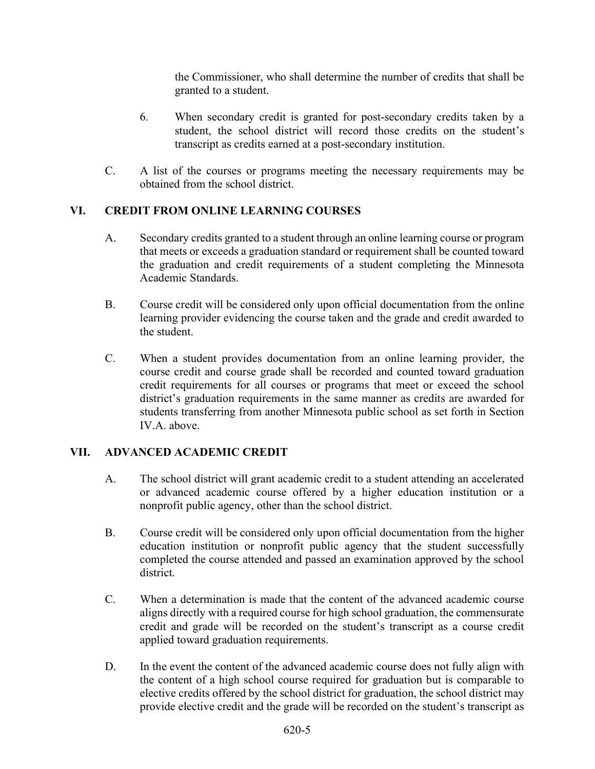the Commissioner, who shall determine the number of credits that shall be granted to a student.

- 6. When secondary credit is granted for post-secondary credits taken by a student, the school district will record those credits on the student's transcript as credits earned at a post-secondary institution.
- C. A list of the courses or programs meeting the necessary requirements may be obtained from the school district.

## VI. CREDIT FROM ONLINE LEARNING COURSES

- A. Secondary credits granted to a student through an online learning course or program that meets or exceeds a graduation standard or requirement shall be counted toward the graduation and credit requirements of a student completing the Minnesota Academic Standards.
- B. Course credit will be considered only upon official documentation from the online learning provider evidencing the course taken and the grade and credit awarded to the student.
- C. When a student provides documentation from an online learning provider, the course credit and course grade shall be recorded and counted toward graduation credit requirements for all courses or programs that meet or exceed the school district's graduation requirements in the same manner as credits are awarded for students transferring from another Minnesota public school as set forth in Section IV.A. above.

## VII. ADVANCED ACADEMIC CREDIT

- A. The school district will grant academic credit to a student attending an accelerated or advanced academic course offered by a higher education institution or a nonprofit public agency, other than the school district.
- B. Course credit will be considered only upon official documentation from the higher education institution or nonprofit public agency that the student successfully completed the course attended and passed an examination approved by the school district.
- C. When a determination is made that the content of the advanced academic course aligns directly with a required course for high school graduation, the commensurate credit and grade will be recorded on the student's transcript as a course credit applied toward graduation requirements.
- D. In the event the content of the advanced academic course does not fully align with the content of a high school course required for graduation but is comparable to elective credits offered by the school district for graduation, the school district may provide elective credit and the grade will be recorded on the student's transcript as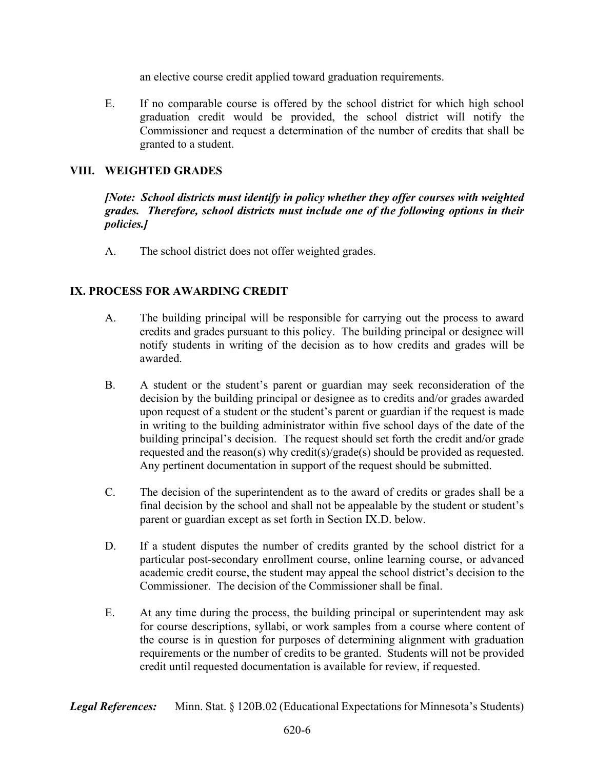an elective course credit applied toward graduation requirements.

E. If no comparable course is offered by the school district for which high school graduation credit would be provided, the school district will notify the Commissioner and request a determination of the number of credits that shall be granted to a student.

## VIII. WEIGHTED GRADES

[Note: School districts must identify in policy whether they offer courses with weighted grades. Therefore, school districts must include one of the following options in their policies.]

A. The school district does not offer weighted grades.

## IX. PROCESS FOR AWARDING CREDIT

- A. The building principal will be responsible for carrying out the process to award credits and grades pursuant to this policy. The building principal or designee will notify students in writing of the decision as to how credits and grades will be awarded.
- B. A student or the student's parent or guardian may seek reconsideration of the decision by the building principal or designee as to credits and/or grades awarded upon request of a student or the student's parent or guardian if the request is made in writing to the building administrator within five school days of the date of the building principal's decision. The request should set forth the credit and/or grade requested and the reason(s) why credit(s)/grade(s) should be provided as requested. Any pertinent documentation in support of the request should be submitted.
- C. The decision of the superintendent as to the award of credits or grades shall be a final decision by the school and shall not be appealable by the student or student's parent or guardian except as set forth in Section IX.D. below.
- D. If a student disputes the number of credits granted by the school district for a particular post-secondary enrollment course, online learning course, or advanced academic credit course, the student may appeal the school district's decision to the Commissioner. The decision of the Commissioner shall be final.
- E. At any time during the process, the building principal or superintendent may ask for course descriptions, syllabi, or work samples from a course where content of the course is in question for purposes of determining alignment with graduation requirements or the number of credits to be granted. Students will not be provided credit until requested documentation is available for review, if requested.

**Legal References:** Minn. Stat. § 120B.02 (Educational Expectations for Minnesota's Students)